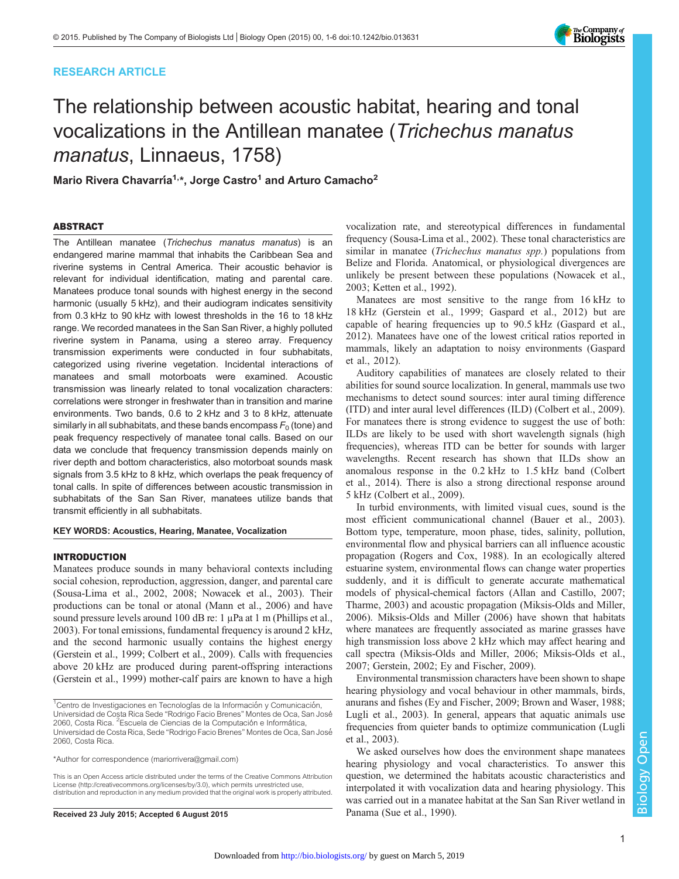# RESEARCH ARTICLE



# The relationship between acoustic habitat, hearing and tonal vocalizations in the Antillean manatee (Trichechus manatus manatus, Linnaeus, 1758)

Mario Rivera Chavarría<sup>1,\*</sup>, Jorge Castro<sup>1</sup> and Arturo Camacho<sup>2</sup>

# ABSTRACT

The Antillean manatee (Trichechus manatus manatus) is an endangered marine mammal that inhabits the Caribbean Sea and riverine systems in Central America. Their acoustic behavior is relevant for individual identification, mating and parental care. Manatees produce tonal sounds with highest energy in the second harmonic (usually 5 kHz), and their audiogram indicates sensitivity from 0.3 kHz to 90 kHz with lowest thresholds in the 16 to 18 kHz range. We recorded manatees in the San San River, a highly polluted riverine system in Panama, using a stereo array. Frequency transmission experiments were conducted in four subhabitats, categorized using riverine vegetation. Incidental interactions of manatees and small motorboats were examined. Acoustic transmission was linearly related to tonal vocalization characters: correlations were stronger in freshwater than in transition and marine environments. Two bands, 0.6 to 2 kHz and 3 to 8 kHz, attenuate similarly in all subhabitats, and these bands encompass  $F_0$  (tone) and peak frequency respectively of manatee tonal calls. Based on our data we conclude that frequency transmission depends mainly on river depth and bottom characteristics, also motorboat sounds mask signals from 3.5 kHz to 8 kHz, which overlaps the peak frequency of tonal calls. In spite of differences between acoustic transmission in subhabitats of the San San River, manatees utilize bands that transmit efficiently in all subhabitats.

KEY WORDS: Acoustics, Hearing, Manatee, Vocalization

# INTRODUCTION

Manatees produce sounds in many behavioral contexts including social cohesion, reproduction, aggression, danger, and parental care [\(Sousa-Lima et al., 2002, 2008; Nowacek et al., 2003](#page-5-0)). Their productions can be tonal or atonal [\(Mann et al., 2006\)](#page-5-0) and have sound pressure levels around 100 dB re: 1 μPa at 1 m [\(Phillips et al.,](#page-5-0) [2003](#page-5-0)). For tonal emissions, fundamental frequency is around 2 kHz, and the second harmonic usually contains the highest energy [\(Gerstein et al., 1999](#page-5-0); [Colbert et al., 2009](#page-5-0)). Calls with frequencies above 20 kHz are produced during parent-offspring interactions [\(Gerstein et al., 1999\)](#page-5-0) mother-calf pairs are known to have a high

\*Author for correspondence [\(mariorrivera@gmail.com\)](mailto:mariorrivera@gmail.com)

This is an Open Access article distributed under the terms of the Creative Commons Attribution License [\(http://creativecommons.org/licenses/by/3.0\)](http://creativecommons.org/licenses/by/3.0), which permits unrestricted use, distribution and reproduction in any medium provided that the original work is properly attributed.

Received 23 July 2015; Accepted 6 August 2015 Panama [\(Sue et al., 1990\)](#page-5-0).

vocalization rate, and stereotypical differences in fundamental frequency ([Sousa-Lima et al., 2002](#page-5-0)). These tonal characteristics are similar in manatee *(Trichechus manatus spp.)* populations from Belize and Florida. Anatomical, or physiological divergences are unlikely be present between these populations [\(Nowacek et al.,](#page-5-0) [2003; Ketten et al., 1992\)](#page-5-0).

Manatees are most sensitive to the range from 16 kHz to 18 kHz [\(Gerstein et al., 1999; Gaspard et al., 2012\)](#page-5-0) but are capable of hearing frequencies up to 90.5 kHz ([Gaspard et al.,](#page-5-0) [2012\)](#page-5-0). Manatees have one of the lowest critical ratios reported in mammals, likely an adaptation to noisy environments ([Gaspard](#page-5-0) [et al., 2012](#page-5-0)).

Auditory capabilities of manatees are closely related to their abilities for sound source localization. In general, mammals use two mechanisms to detect sound sources: inter aural timing difference (ITD) and inter aural level differences (ILD) [\(Colbert et al., 2009\)](#page-5-0). For manatees there is strong evidence to suggest the use of both: ILDs are likely to be used with short wavelength signals (high frequencies), whereas ITD can be better for sounds with larger wavelengths. Recent research has shown that ILDs show an anomalous response in the 0.2 kHz to 1.5 kHz band ([Colbert](#page-5-0) [et al., 2014](#page-5-0)). There is also a strong directional response around 5 kHz ([Colbert et al., 2009\)](#page-5-0).

In turbid environments, with limited visual cues, sound is the most efficient communicational channel ([Bauer et al., 2003\)](#page-5-0). Bottom type, temperature, moon phase, tides, salinity, pollution, environmental flow and physical barriers can all influence acoustic propagation ([Rogers and Cox, 1988\)](#page-5-0). In an ecologically altered estuarine system, environmental flows can change water properties suddenly, and it is difficult to generate accurate mathematical models of physical-chemical factors [\(Allan and Castillo, 2007](#page-5-0); [Tharme, 2003\)](#page-5-0) and acoustic propagation [\(Miksis-Olds and Miller,](#page-5-0) [2006\)](#page-5-0). [Miksis-Olds and Miller \(2006\)](#page-5-0) have shown that habitats where manatees are frequently associated as marine grasses have high transmission loss above 2 kHz which may affect hearing and call spectra [\(Miksis-Olds and Miller, 2006; Miksis-Olds et al.,](#page-5-0) [2007; Gerstein, 2002; Ey and Fischer, 2009](#page-5-0)).

Environmental transmission characters have been shown to shape hearing physiology and vocal behaviour in other mammals, birds, anurans and fishes [\(Ey and Fischer, 2009; Brown and Waser, 1988](#page-5-0); [Lugli et al., 2003\)](#page-5-0). In general, appears that aquatic animals use frequencies from quieter bands to optimize communication ([Lugli](#page-5-0) [et al., 2003\)](#page-5-0).

We asked ourselves how does the environment shape manatees hearing physiology and vocal characteristics. To answer this question, we determined the habitats acoustic characteristics and interpolated it with vocalization data and hearing physiology. This was carried out in a manatee habitat at the San San River wetland in

<sup>&</sup>lt;sup>1</sup>Centro de Investigaciones en Tecnologías de la Información y Comunicación, Universidad de Costa Rica Sede "Rodrigo Facio Brenes" Montes de Oca, San José 2060, Costa Rica. <sup>2</sup>Escuela de Ciencias de la Computación e Informática, Universidad de Costa Rica, Sede "Rodrigo Facio Brenes" Montes de Oca, San José 2060, Costa Rica.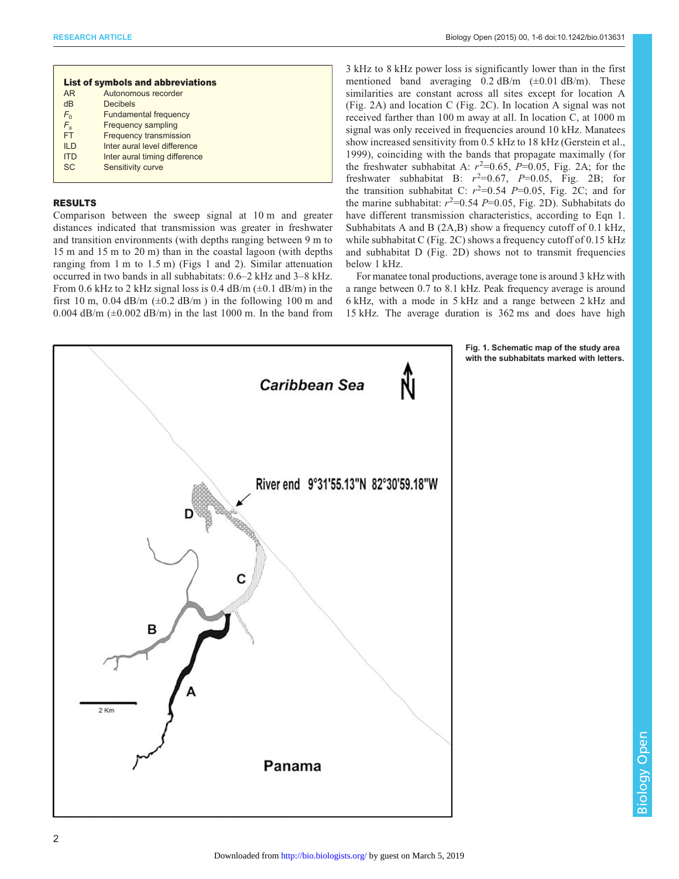<span id="page-1-0"></span>

| <b>List of symbols and abbreviations</b> |                               |  |  |
|------------------------------------------|-------------------------------|--|--|
| <b>AR</b>                                | Autonomous recorder           |  |  |
| dB                                       | <b>Decibels</b>               |  |  |
| $F_{0}$                                  | <b>Fundamental frequency</b>  |  |  |
| $F_{s}$                                  | <b>Frequency sampling</b>     |  |  |
| <b>FT</b>                                | <b>Frequency transmission</b> |  |  |
| II <sub>D</sub>                          | Inter aural level difference  |  |  |
| <b>ITD</b>                               | Inter aural timing difference |  |  |
| SC.                                      | Sensitivity curve             |  |  |
|                                          |                               |  |  |

# RESULTS

Comparison between the sweep signal at 10 m and greater distances indicated that transmission was greater in freshwater and transition environments (with depths ranging between 9 m to 15 m and 15 m to 20 m) than in the coastal lagoon (with depths ranging from 1 m to 1.5 m) (Figs 1 and [2](#page-2-0)). Similar attenuation occurred in two bands in all subhabitats: 0.6–2 kHz and 3–8 kHz. From 0.6 kHz to 2 kHz signal loss is 0.4 dB/m  $(\pm 0.1 \text{ dB/m})$  in the first 10 m, 0.04 dB/m ( $\pm$ 0.2 dB/m) in the following 100 m and 0.004 dB/m  $(\pm 0.002 \text{ dB/m})$  in the last 1000 m. In the band from

3 kHz to 8 kHz power loss is significantly lower than in the first mentioned band averaging  $0.2$  dB/m ( $\pm 0.01$  dB/m). These similarities are constant across all sites except for location A [\(Fig. 2](#page-2-0)A) and location C ([Fig. 2](#page-2-0)C). In location A signal was not received farther than 100 m away at all. In location C, at 1000 m signal was only received in frequencies around 10 kHz. Manatees show increased sensitivity from 0.5 kHz to 18 kHz [\(Gerstein et al.,](#page-5-0) [1999](#page-5-0)), coinciding with the bands that propagate maximally ( for the freshwater subhabitat A:  $r^2=0.65$ ,  $\overline{P}=0.05$ , [Fig. 2A](#page-2-0); for the freshwater subhabitat B:  $r^2=0.67$ ,  $P=0.05$ , [Fig. 2](#page-2-0)B; for the transition subhabitat C:  $r^2=0.54$  P=0.05, [Fig. 2](#page-2-0)C; and for the marine subhabitat:  $r^2=0.54$  P=0.05, [Fig. 2](#page-2-0)D). Subhabitats do have different transmission characteristics, according to Eqn 1. Subhabitats A and B ([2A](#page-2-0),B) show a frequency cutoff of 0.1 kHz, while subhabitat C [\(Fig. 2](#page-2-0)C) shows a frequency cutoff of 0.15 kHz and subhabitat D ([Fig. 2](#page-2-0)D) shows not to transmit frequencies below 1 kHz.

For manatee tonal productions, average tone is around 3 kHz with a range between 0.7 to 8.1 kHz. Peak frequency average is around 6 kHz, with a mode in 5 kHz and a range between 2 kHz and 15 kHz. The average duration is 362 ms and does have high



Fig. 1. Schematic map of the study area with the subhabitats marked with letters.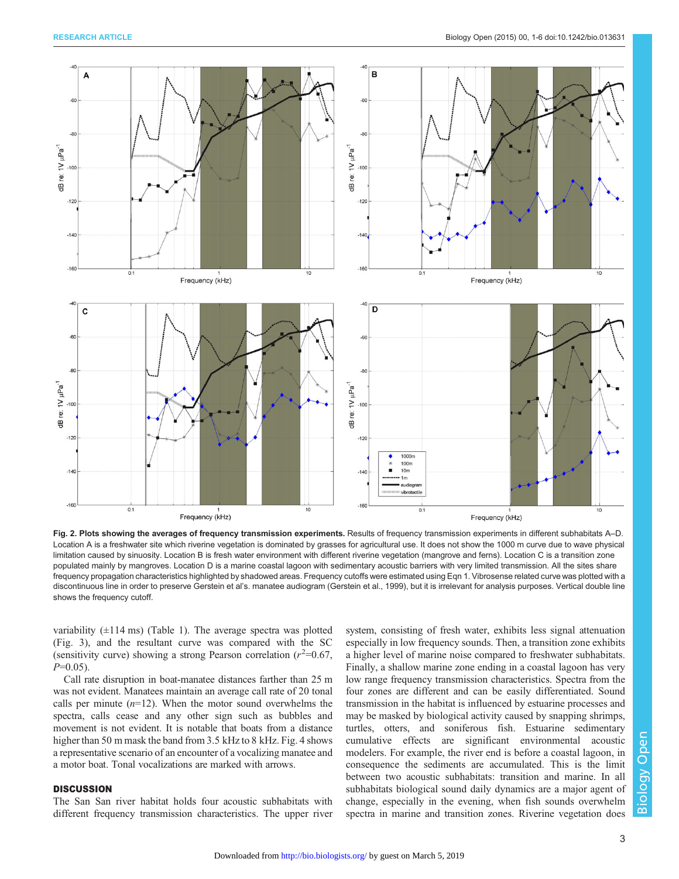<span id="page-2-0"></span>

Fig. 2. Plots showing the averages of frequency transmission experiments. Results of frequency transmission experiments in different subhabitats A–D. Location A is a freshwater site which riverine vegetation is dominated by grasses for agricultural use. It does not show the 1000 m curve due to wave physical limitation caused by sinuosity. Location B is fresh water environment with different riverine vegetation (mangrove and ferns). Location C is a transition zone populated mainly by mangroves. Location D is a marine coastal lagoon with sedimentary acoustic barriers with very limited transmission. All the sites share frequency propagation characteristics highlighted by shadowed areas. Frequency cutoffs were estimated using Eqn 1. Vibrosense related curve was plotted with a discontinuous line in order to preserve Gerstein et al's. manatee audiogram ([Gerstein et al., 1999\)](#page-5-0), but it is irrelevant for analysis purposes. Vertical double line shows the frequency cutoff.

variability  $(\pm 114 \text{ ms})$  [\(Table 1\)](#page-3-0). The average spectra was plotted [\(Fig. 3](#page-3-0)), and the resultant curve was compared with the SC (sensitivity curve) showing a strong Pearson correlation  $(r^2=0.67,$  $P=0.05$ ).

Call rate disruption in boat-manatee distances farther than 25 m was not evident. Manatees maintain an average call rate of 20 tonal calls per minute  $(n=12)$ . When the motor sound overwhelms the spectra, calls cease and any other sign such as bubbles and movement is not evident. It is notable that boats from a distance higher than 50 m mask the band from 3.5 kHz to 8 kHz. [Fig. 4](#page-3-0) shows a representative scenario of an encounter of a vocalizing manatee and a motor boat. Tonal vocalizations are marked with arrows.

# **DISCUSSION**

The San San river habitat holds four acoustic subhabitats with different frequency transmission characteristics. The upper river system, consisting of fresh water, exhibits less signal attenuation especially in low frequency sounds. Then, a transition zone exhibits a higher level of marine noise compared to freshwater subhabitats. Finally, a shallow marine zone ending in a coastal lagoon has very low range frequency transmission characteristics. Spectra from the four zones are different and can be easily differentiated. Sound transmission in the habitat is influenced by estuarine processes and may be masked by biological activity caused by snapping shrimps, turtles, otters, and soniferous fish. Estuarine sedimentary cumulative effects are significant environmental acoustic modelers. For example, the river end is before a coastal lagoon, in consequence the sediments are accumulated. This is the limit between two acoustic subhabitats: transition and marine. In all subhabitats biological sound daily dynamics are a major agent of change, especially in the evening, when fish sounds overwhelm spectra in marine and transition zones. Riverine vegetation does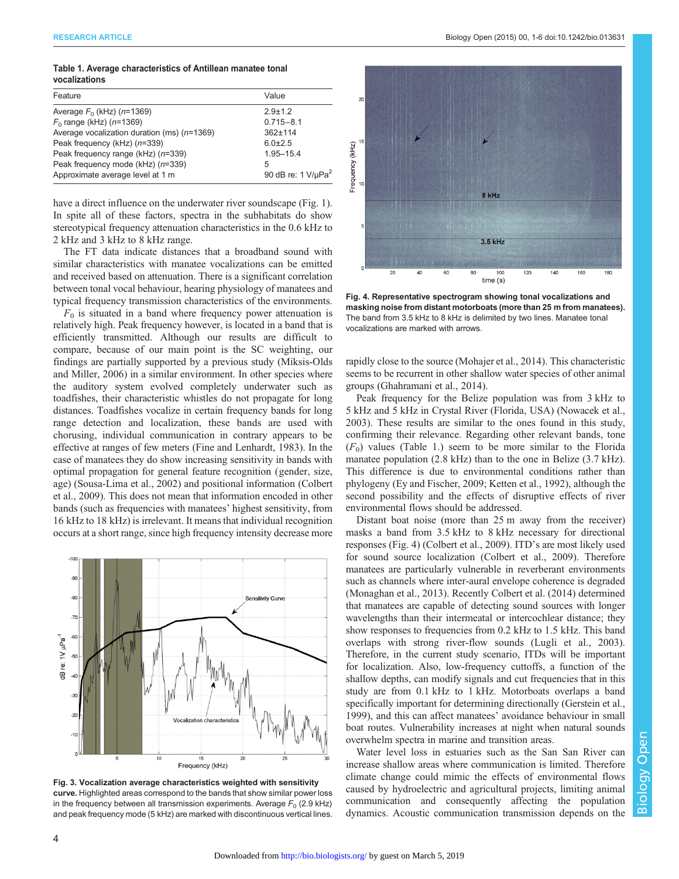<span id="page-3-0"></span>

| Table 1. Average characteristics of Antillean manatee tonal |  |  |
|-------------------------------------------------------------|--|--|
| vocalizations                                               |  |  |

| Feature                                       | Value                                  |
|-----------------------------------------------|----------------------------------------|
| Average $F_0$ (kHz) ( $n=1369$ )              | $29+12$                                |
| $F_0$ range (kHz) ( $n=1369$ )                | $0.715 - 8.1$                          |
| Average vocalization duration (ms) $(n=1369)$ | $362 + 114$                            |
| Peak frequency (kHz) (n=339)                  | $6.0 \pm 2.5$                          |
| Peak frequency range (kHz) (n=339)            | 1.95-15.4                              |
| Peak frequency mode (kHz) (n=339)             | 5                                      |
| Approximate average level at 1 m              | 90 dB re: $1$ V/ $\mu$ Pa <sup>2</sup> |

have a direct influence on the underwater river soundscape ([Fig. 1\)](#page-1-0). In spite all of these factors, spectra in the subhabitats do show stereotypical frequency attenuation characteristics in the 0.6 kHz to 2 kHz and 3 kHz to 8 kHz range.

The FT data indicate distances that a broadband sound with similar characteristics with manatee vocalizations can be emitted and received based on attenuation. There is a significant correlation between tonal vocal behaviour, hearing physiology of manatees and typical frequency transmission characteristics of the environments.

 $F_0$  is situated in a band where frequency power attenuation is relatively high. Peak frequency however, is located in a band that is efficiently transmitted. Although our results are difficult to compare, because of our main point is the SC weighting, our findings are partially supported by a previous study [\(Miksis-Olds](#page-5-0) [and Miller, 2006\)](#page-5-0) in a similar environment. In other species where the auditory system evolved completely underwater such as toadfishes, their characteristic whistles do not propagate for long distances. Toadfishes vocalize in certain frequency bands for long range detection and localization, these bands are used with chorusing, individual communication in contrary appears to be effective at ranges of few meters ([Fine and Lenhardt, 1983](#page-5-0)). In the case of manatees they do show increasing sensitivity in bands with optimal propagation for general feature recognition (gender, size, age) ([Sousa-Lima et al., 2002](#page-5-0)) and positional information ([Colbert](#page-5-0) [et al., 2009](#page-5-0)). This does not mean that information encoded in other bands (such as frequencies with manatees' highest sensitivity, from 16 kHz to 18 kHz) is irrelevant. It means that individual recognition occurs at a short range, since high frequency intensity decrease more



Fig. 3. Vocalization average characteristics weighted with sensitivity curve. Highlighted areas correspond to the bands that show similar power loss in the frequency between all transmission experiments. Average  $F_0$  (2.9 kHz) and peak frequency mode (5 kHz) are marked with discontinuous vertical lines.



Fig. 4. Representative spectrogram showing tonal vocalizations and masking noise from distant motorboats (more than 25 m from manatees). The band from 3.5 kHz to 8 kHz is delimited by two lines. Manatee tonal vocalizations are marked with arrows.

rapidly close to the source ([Mohajer et al., 2014\)](#page-5-0). This characteristic seems to be recurrent in other shallow water species of other animal groups [\(Ghahramani et al., 2014\)](#page-5-0).

Peak frequency for the Belize population was from 3 kHz to 5 kHz and 5 kHz in Crystal River (Florida, USA) [\(Nowacek et al.,](#page-5-0) [2003\)](#page-5-0). These results are similar to the ones found in this study, confirming their relevance. Regarding other relevant bands, tone  $(F<sub>0</sub>)$  values (Table 1.) seem to be more similar to the Florida manatee population (2.8 kHz) than to the one in Belize (3.7 kHz). This difference is due to environmental conditions rather than phylogeny [\(Ey and Fischer, 2009; Ketten et al., 1992\)](#page-5-0), although the second possibility and the effects of disruptive effects of river environmental flows should be addressed.

Distant boat noise (more than 25 m away from the receiver) masks a band from 3.5 kHz to 8 kHz necessary for directional responses (Fig. 4) [\(Colbert et al., 2009\)](#page-5-0). ITD's are most likely used for sound source localization ([Colbert et al., 2009\)](#page-5-0). Therefore manatees are particularly vulnerable in reverberant environments such as channels where inter-aural envelope coherence is degraded [\(Monaghan et al., 2013\)](#page-5-0). Recently [Colbert et al. \(2014\)](#page-5-0) determined that manatees are capable of detecting sound sources with longer wavelengths than their intermeatal or intercochlear distance; they show responses to frequencies from 0.2 kHz to 1.5 kHz. This band overlaps with strong river-flow sounds ([Lugli et al., 2003\)](#page-5-0). Therefore, in the current study scenario, ITDs will be important for localization. Also, low-frequency cuttoffs, a function of the shallow depths, can modify signals and cut frequencies that in this study are from 0.1 kHz to 1 kHz. Motorboats overlaps a band specifically important for determining directionally ([Gerstein et al.,](#page-5-0) [1999\)](#page-5-0), and this can affect manatees' avoidance behaviour in small boat routes. Vulnerability increases at night when natural sounds overwhelm spectra in marine and transition areas.

Water level loss in estuaries such as the San San River can increase shallow areas where communication is limited. Therefore climate change could mimic the effects of environmental flows caused by hydroelectric and agricultural projects, limiting animal communication and consequently affecting the population dynamics. Acoustic communication transmission depends on the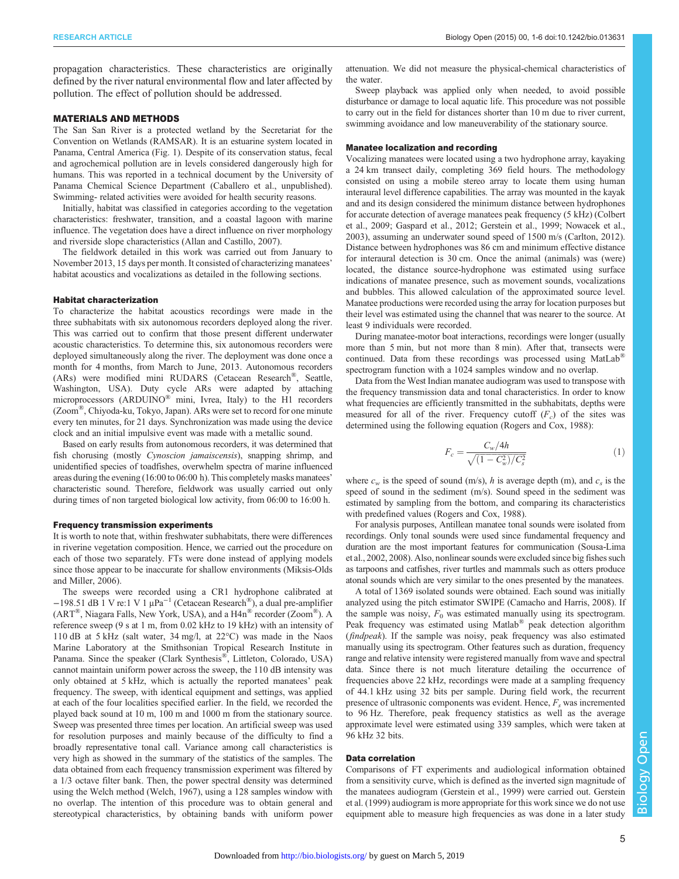propagation characteristics. These characteristics are originally defined by the river natural environmental flow and later affected by pollution. The effect of pollution should be addressed.

#### MATERIALS AND METHODS

The San San River is a protected wetland by the Secretariat for the Convention on Wetlands (RAMSAR). It is an estuarine system located in Panama, Central America ([Fig. 1\)](#page-1-0). Despite of its conservation status, fecal and agrochemical pollution are in levels considered dangerously high for humans. This was reported in a technical document by the University of Panama Chemical Science Department (Caballero et al., unpublished). Swimming- related activities were avoided for health security reasons.

Initially, habitat was classified in categories according to the vegetation characteristics: freshwater, transition, and a coastal lagoon with marine influence. The vegetation does have a direct influence on river morphology and riverside slope characteristics ([Allan and Castillo, 2007\)](#page-5-0).

The fieldwork detailed in this work was carried out from January to November 2013, 15 days per month. It consisted of characterizing manatees' habitat acoustics and vocalizations as detailed in the following sections.

## Habitat characterization

To characterize the habitat acoustics recordings were made in the three subhabitats with six autonomous recorders deployed along the river. This was carried out to confirm that those present different underwater acoustic characteristics. To determine this, six autonomous recorders were deployed simultaneously along the river. The deployment was done once a month for 4 months, from March to June, 2013. Autonomous recorders (ARs) were modified mini RUDARS (Cetacean Research®, Seattle, Washington, USA). Duty cycle ARs were adapted by attaching microprocessors (ARDUINO® mini, Ivrea, Italy) to the H1 recorders (Zoom®, Chiyoda-ku, Tokyo, Japan). ARs were set to record for one minute every ten minutes, for 21 days. Synchronization was made using the device clock and an initial impulsive event was made with a metallic sound.

Based on early results from autonomous recorders, it was determined that fish chorusing (mostly Cynoscion jamaiscensis), snapping shrimp, and unidentified species of toadfishes, overwhelm spectra of marine influenced areas during the evening (16:00 to 06:00 h). This completely masks manatees' characteristic sound. Therefore, fieldwork was usually carried out only during times of non targeted biological low activity, from 06:00 to 16:00 h.

### Frequency transmission experiments

It is worth to note that, within freshwater subhabitats, there were differences in riverine vegetation composition. Hence, we carried out the procedure on each of those two separately. FTs were done instead of applying models since those appear to be inaccurate for shallow environments [\(Miksis-Olds](#page-5-0) [and Miller, 2006\)](#page-5-0).

The sweeps were recorded using a CR1 hydrophone calibrated at  $-198.51$  dB 1 V re:1 V 1 µPa<sup>-1</sup> (Cetacean Research<sup>®</sup>), a dual pre-amplifier (ART®, Niagara Falls, New York, USA), and a H4n® recorder (Zoom®). A reference sweep (9 s at 1 m, from 0.02 kHz to 19 kHz) with an intensity of 110 dB at 5 kHz (salt water, 34 mg/l, at 22°C) was made in the Naos Marine Laboratory at the Smithsonian Tropical Research Institute in Panama. Since the speaker (Clark Synthesis®, Littleton, Colorado, USA) cannot maintain uniform power across the sweep, the 110 dB intensity was only obtained at 5 kHz, which is actually the reported manatees' peak frequency. The sweep, with identical equipment and settings, was applied at each of the four localities specified earlier. In the field, we recorded the played back sound at 10 m, 100 m and 1000 m from the stationary source. Sweep was presented three times per location. An artificial sweep was used for resolution purposes and mainly because of the difficulty to find a broadly representative tonal call. Variance among call characteristics is very high as showed in the summary of the statistics of the samples. The data obtained from each frequency transmission experiment was filtered by a 1/3 octave filter bank. Then, the power spectral density was determined using the Welch method [\(Welch, 1967](#page-5-0)), using a 128 samples window with no overlap. The intention of this procedure was to obtain general and stereotypical characteristics, by obtaining bands with uniform power

attenuation. We did not measure the physical-chemical characteristics of the water.

Sweep playback was applied only when needed, to avoid possible disturbance or damage to local aquatic life. This procedure was not possible to carry out in the field for distances shorter than 10 m due to river current, swimming avoidance and low maneuverability of the stationary source.

#### Manatee localization and recording

Vocalizing manatees were located using a two hydrophone array, kayaking a 24 km transect daily, completing 369 field hours. The methodology consisted on using a mobile stereo array to locate them using human interaural level difference capabilities. The array was mounted in the kayak and and its design considered the minimum distance between hydrophones for accurate detection of average manatees peak frequency (5 kHz) [\(Colbert](#page-5-0) [et al., 2009; Gaspard et al., 2012](#page-5-0); [Gerstein et al., 1999; Nowacek et al.,](#page-5-0) [2003\)](#page-5-0), assuming an underwater sound speed of 1500 m/s [\(Carlton, 2012](#page-5-0)). Distance between hydrophones was 86 cm and minimum effective distance for interaural detection is 30 cm. Once the animal (animals) was (were) located, the distance source-hydrophone was estimated using surface indications of manatee presence, such as movement sounds, vocalizations and bubbles. This allowed calculation of the approximated source level. Manatee productions were recorded using the array for location purposes but their level was estimated using the channel that was nearer to the source. At least 9 individuals were recorded.

During manatee-motor boat interactions, recordings were longer (usually more than 5 min, but not more than 8 min). After that, transects were continued. Data from these recordings was processed using MatLab® spectrogram function with a 1024 samples window and no overlap.

Data from the West Indian manatee audiogram was used to transpose with the frequency transmission data and tonal characteristics. In order to know what frequencies are efficiently transmitted in the subhabitats, depths were measured for all of the river. Frequency cutoff  $(F_c)$  of the sites was determined using the following equation [\(Rogers and Cox, 1988\)](#page-5-0):

$$
F_c = \frac{C_w/4h}{\sqrt{(1 - C_w^2)/C_s^2}}\tag{1}
$$

where  $c_w$  is the speed of sound (m/s), h is average depth (m), and  $c_s$  is the speed of sound in the sediment (m/s). Sound speed in the sediment was estimated by sampling from the bottom, and comparing its characteristics with predefined values [\(Rogers and Cox, 1988](#page-5-0)).

For analysis purposes, Antillean manatee tonal sounds were isolated from recordings. Only tonal sounds were used since fundamental frequency and duration are the most important features for communication [\(Sousa-Lima](#page-5-0) [et al., 2002, 2008\)](#page-5-0). Also, nonlinear sounds were excluded since big fishes such as tarpoons and catfishes, river turtles and mammals such as otters produce atonal sounds which are very similar to the ones presented by the manatees.

A total of 1369 isolated sounds were obtained. Each sound was initially analyzed using the pitch estimator SWIPE [\(Camacho and Harris, 2008](#page-5-0)). If the sample was noisy,  $F_0$  was estimated manually using its spectrogram. Peak frequency was estimated using Matlab® peak detection algorithm (findpeak). If the sample was noisy, peak frequency was also estimated manually using its spectrogram. Other features such as duration, frequency range and relative intensity were registered manually from wave and spectral data. Since there is not much literature detailing the occurrence of frequencies above 22 kHz, recordings were made at a sampling frequency of 44.1 kHz using 32 bits per sample. During field work, the recurrent presence of ultrasonic components was evident. Hence,  $F_s$  was incremented to 96 Hz. Therefore, peak frequency statistics as well as the average approximate level were estimated using 339 samples, which were taken at 96 kHz 32 bits.

## Data correlation

Comparisons of FT experiments and audiological information obtained from a sensitivity curve, which is defined as the inverted sign magnitude of the manatees audiogram [\(Gerstein et al., 1999\)](#page-5-0) were carried out. [Gerstein](#page-5-0) [et al. \(1999\)](#page-5-0) audiogram is more appropriate for this work since we do not use equipment able to measure high frequencies as was done in a later study